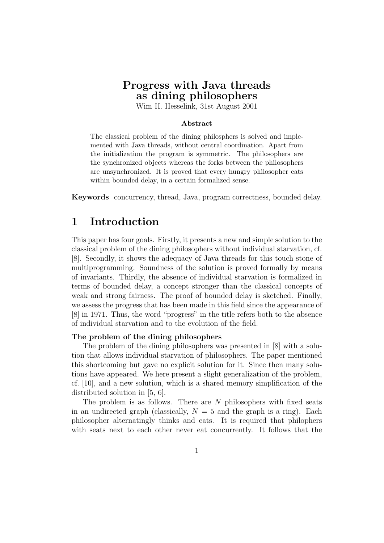## Progress with Java threads as dining philosophers

Wim H. Hesselink, 31st August 2001

### Abstract

The classical problem of the dining philosphers is solved and implemented with Java threads, without central coordination. Apart from the initialization the program is symmetric. The philosophers are the synchronized objects whereas the forks between the philosophers are unsynchronized. It is proved that every hungry philosopher eats within bounded delay, in a certain formalized sense.

Keywords concurrency, thread, Java, program correctness, bounded delay.

# 1 Introduction

This paper has four goals. Firstly, it presents a new and simple solution to the classical problem of the dining philosophers without individual starvation, cf. [8]. Secondly, it shows the adequacy of Java threads for this touch stone of multiprogramming. Soundness of the solution is proved formally by means of invariants. Thirdly, the absence of individual starvation is formalized in terms of bounded delay, a concept stronger than the classical concepts of weak and strong fairness. The proof of bounded delay is sketched. Finally, we assess the progress that has been made in this field since the appearance of [8] in 1971. Thus, the word "progress" in the title refers both to the absence of individual starvation and to the evolution of the field.

#### The problem of the dining philosophers

The problem of the dining philosophers was presented in [8] with a solution that allows individual starvation of philosophers. The paper mentioned this shortcoming but gave no explicit solution for it. Since then many solutions have appeared. We here present a slight generalization of the problem, cf. [10], and a new solution, which is a shared memory simplification of the distributed solution in [5, 6].

The problem is as follows. There are  $N$  philosophers with fixed seats in an undirected graph (classically,  $N = 5$  and the graph is a ring). Each philosopher alternatingly thinks and eats. It is required that philophers with seats next to each other never eat concurrently. It follows that the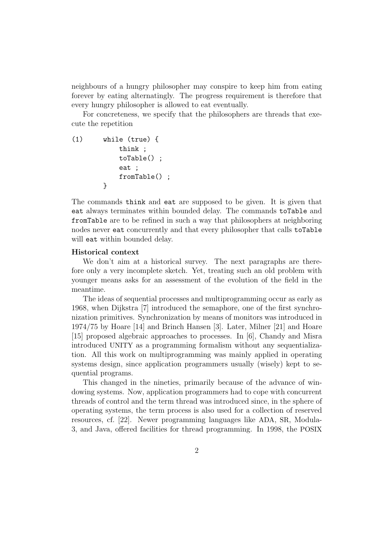neighbours of a hungry philosopher may conspire to keep him from eating forever by eating alternatingly. The progress requirement is therefore that every hungry philosopher is allowed to eat eventually.

For concreteness, we specify that the philosophers are threads that execute the repetition

```
(1) while (true) {
            think ;
            toTable() ;
            eat ;
            fromTable() ;
       }
```
The commands think and eat are supposed to be given. It is given that eat always terminates within bounded delay. The commands toTable and fromTable are to be refined in such a way that philosophers at neighboring nodes never eat concurrently and that every philosopher that calls toTable will eat within bounded delay.

#### Historical context

We don't aim at a historical survey. The next paragraphs are therefore only a very incomplete sketch. Yet, treating such an old problem with younger means asks for an assessment of the evolution of the field in the meantime.

The ideas of sequential processes and multiprogramming occur as early as 1968, when Dijkstra [7] introduced the semaphore, one of the first synchronization primitives. Synchronization by means of monitors was introduced in 1974/75 by Hoare [14] and Brinch Hansen [3]. Later, Milner [21] and Hoare [15] proposed algebraic approaches to processes. In [6], Chandy and Misra introduced UNITY as a programming formalism without any sequentialization. All this work on multiprogramming was mainly applied in operating systems design, since application programmers usually (wisely) kept to sequential programs.

This changed in the nineties, primarily because of the advance of windowing systems. Now, application programmers had to cope with concurrent threads of control and the term thread was introduced since, in the sphere of operating systems, the term process is also used for a collection of reserved resources, cf. [22]. Newer programming languages like ADA, SR, Modula-3, and Java, offered facilities for thread programming. In 1998, the POSIX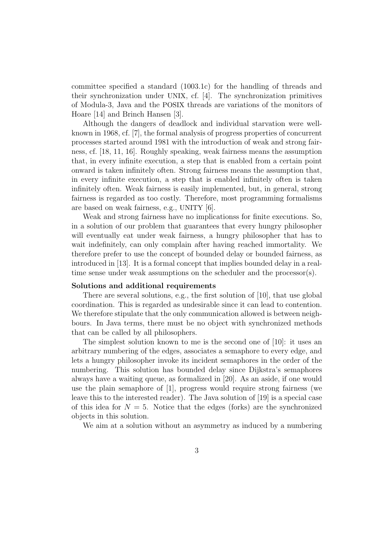committee specified a standard (1003.1c) for the handling of threads and their synchronization under UNIX, cf. [4]. The synchronization primitives of Modula-3, Java and the POSIX threads are variations of the monitors of Hoare [14] and Brinch Hansen [3].

Although the dangers of deadlock and individual starvation were wellknown in 1968, cf. [7], the formal analysis of progress properties of concurrent processes started around 1981 with the introduction of weak and strong fairness, cf. [18, 11, 16]. Roughly speaking, weak fairness means the assumption that, in every infinite execution, a step that is enabled from a certain point onward is taken infinitely often. Strong fairness means the assumption that, in every infinite execution, a step that is enabled infinitely often is taken infinitely often. Weak fairness is easily implemented, but, in general, strong fairness is regarded as too costly. Therefore, most programming formalisms are based on weak fairness, e.g., UNITY [6].

Weak and strong fairness have no implicationss for finite executions. So, in a solution of our problem that guarantees that every hungry philosopher will eventually eat under weak fairness, a hungry philosopher that has to wait indefinitely, can only complain after having reached immortality. We therefore prefer to use the concept of bounded delay or bounded fairness, as introduced in [13]. It is a formal concept that implies bounded delay in a realtime sense under weak assumptions on the scheduler and the processor(s).

#### Solutions and additional requirements

There are several solutions, e.g., the first solution of [10], that use global coordination. This is regarded as undesirable since it can lead to contention. We therefore stipulate that the only communication allowed is between neighbours. In Java terms, there must be no object with synchronized methods that can be called by all philosophers.

The simplest solution known to me is the second one of [10]: it uses an arbitrary numbering of the edges, associates a semaphore to every edge, and lets a hungry philosopher invoke its incident semaphores in the order of the numbering. This solution has bounded delay since Dijkstra's semaphores always have a waiting queue, as formalized in [20]. As an aside, if one would use the plain semaphore of [1], progress would require strong fairness (we leave this to the interested reader). The Java solution of [19] is a special case of this idea for  $N = 5$ . Notice that the edges (forks) are the synchronized objects in this solution.

We aim at a solution without an asymmetry as induced by a numbering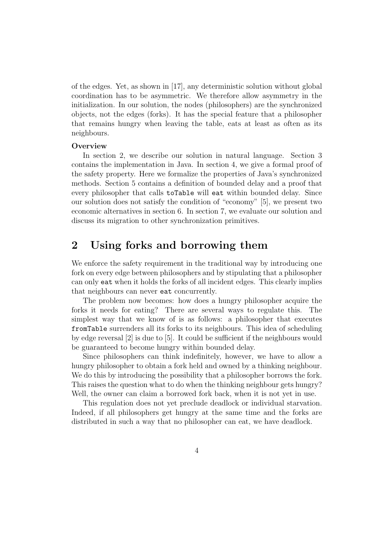of the edges. Yet, as shown in [17], any deterministic solution without global coordination has to be asymmetric. We therefore allow asymmetry in the initialization. In our solution, the nodes (philosophers) are the synchronized objects, not the edges (forks). It has the special feature that a philosopher that remains hungry when leaving the table, eats at least as often as its neighbours.

#### **Overview**

In section 2, we describe our solution in natural language. Section 3 contains the implementation in Java. In section 4, we give a formal proof of the safety property. Here we formalize the properties of Java's synchronized methods. Section 5 contains a definition of bounded delay and a proof that every philosopher that calls toTable will eat within bounded delay. Since our solution does not satisfy the condition of "economy" [5], we present two economic alternatives in section 6. In section 7, we evaluate our solution and discuss its migration to other synchronization primitives.

## 2 Using forks and borrowing them

We enforce the safety requirement in the traditional way by introducing one fork on every edge between philosophers and by stipulating that a philosopher can only eat when it holds the forks of all incident edges. This clearly implies that neighbours can never eat concurrently.

The problem now becomes: how does a hungry philosopher acquire the forks it needs for eating? There are several ways to regulate this. The simplest way that we know of is as follows: a philosopher that executes fromTable surrenders all its forks to its neighbours. This idea of scheduling by edge reversal [2] is due to [5]. It could be sufficient if the neighbours would be guaranteed to become hungry within bounded delay.

Since philosophers can think indefinitely, however, we have to allow a hungry philosopher to obtain a fork held and owned by a thinking neighbour. We do this by introducing the possibility that a philosopher borrows the fork. This raises the question what to do when the thinking neighbour gets hungry? Well, the owner can claim a borrowed fork back, when it is not yet in use.

This regulation does not yet preclude deadlock or individual starvation. Indeed, if all philosophers get hungry at the same time and the forks are distributed in such a way that no philosopher can eat, we have deadlock.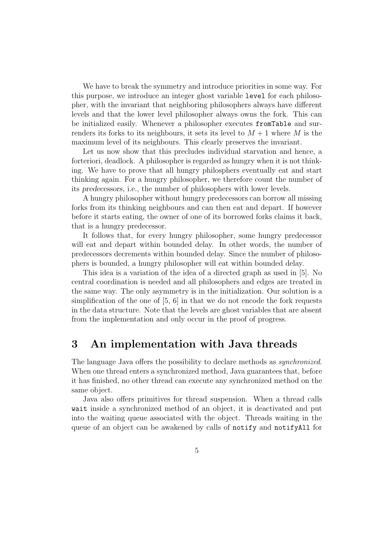We have to break the symmetry and introduce priorities in some way. For this purpose, we introduce an integer ghost variable level for each philosopher, with the invariant that neighboring philosophers always have different levels and that the lower level philosopher always owns the fork. This can be initialized easily. Whenever a philosopher executes fromTable and surrenders its forks to its neighbours, it sets its level to  $M + 1$  where M is the maximum level of its neighbours. This clearly preserves the invariant.

Let us now show that this precludes individual starvation and hence, a forteriori, deadlock. A philosopher is regarded as hungry when it is not thinking. We have to prove that all hungry philosphers eventually eat and start thinking again. For a hungry philosopher, we therefore count the number of its predecessors, i.e., the number of philosophers with lower levels.

A hungry philosopher without hungry predecessors can borrow all missing forks from its thinking neighbours and can then eat and depart. If however before it starts eating, the owner of one of its borrowed forks claims it back, that is a hungry predecessor.

It follows that, for every hungry philosopher, some hungry predecessor will eat and depart within bounded delay. In other words, the number of predecessors decrements within bounded delay. Since the number of philosophers is bounded, a hungry philosopher will eat within bounded delay.

This idea is a variation of the idea of a directed graph as used in [5]. No central coordination is needed and all philosophers and edges are treated in the same way. The only asymmetry is in the initialization. Our solution is a simplification of the one of [5, 6] in that we do not encode the fork requests in the data structure. Note that the levels are ghost variables that are absent from the implementation and only occur in the proof of progress.

## 3 An implementation with Java threads

The language Java offers the possibility to declare methods as synchronized. When one thread enters a synchronized method, Java guarantees that, before it has finished, no other thread can execute any synchronized method on the same object.

Java also offers primitives for thread suspension. When a thread calls wait inside a synchronized method of an object, it is deactivated and put into the waiting queue associated with the object. Threads waiting in the queue of an object can be awakened by calls of notify and notifyAll for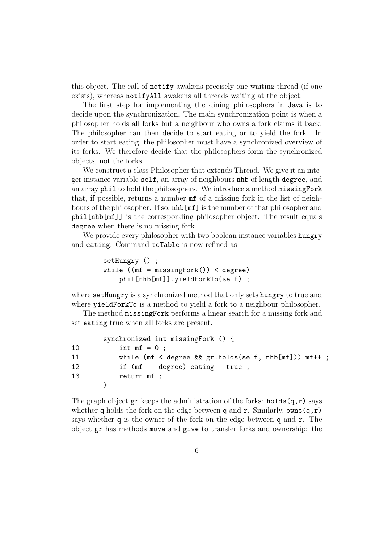this object. The call of notify awakens precisely one waiting thread (if one exists), whereas notifyAll awakens all threads waiting at the object.

The first step for implementing the dining philosophers in Java is to decide upon the synchronization. The main synchronization point is when a philosopher holds all forks but a neighbour who owns a fork claims it back. The philosopher can then decide to start eating or to yield the fork. In order to start eating, the philosopher must have a synchronized overview of its forks. We therefore decide that the philosophers form the synchronized objects, not the forks.

We construct a class Philosopher that extends Thread. We give it an integer instance variable self, an array of neighbours nhb of length degree, and an array phil to hold the philosophers. We introduce a method missingFork that, if possible, returns a number mf of a missing fork in the list of neighbours of the philosopher. If so, nhb[mf] is the number of that philosopher and phil[nhb[mf]] is the corresponding philosopher object. The result equals degree when there is no missing fork.

We provide every philosopher with two boolean instance variables hungry and eating. Command toTable is now refined as

```
setHungry () ;
while ((mf = missingFork()) < degree)phil[nhb[mf]].yieldForkTo(self) ;
```
where setHungry is a synchronized method that only sets hungry to true and where yieldForkTo is a method to yield a fork to a neighbour philosopher.

The method missingFork performs a linear search for a missing fork and set eating true when all forks are present.

|    | synchronized int missingFork () {                       |
|----|---------------------------------------------------------|
| 10 | int $mf = 0$ ;                                          |
| 11 | while $(mf < degree \& gr.holds(self, nhb[mf])) mf++ ;$ |
| 12 | if $(mf == degree)$ eating = true;                      |
| 13 | return mf;                                              |
|    |                                                         |

The graph object  $gr$  keeps the administration of the forks: holds $(g, r)$  says whether q holds the fork on the edge between q and r. Similarly,  $own(q,r)$ says whether q is the owner of the fork on the edge between q and  $r$ . The object gr has methods move and give to transfer forks and ownership: the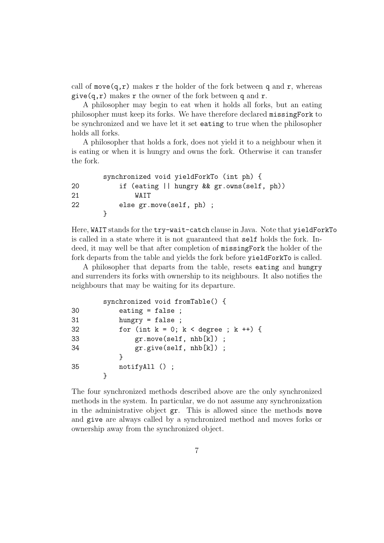call of move $(q,r)$  makes r the holder of the fork between q and r, whereas give $(q, r)$  makes r the owner of the fork between q and r.

A philosopher may begin to eat when it holds all forks, but an eating philosopher must keep its forks. We have therefore declared missingFork to be synchronized and we have let it set eating to true when the philosopher holds all forks.

A philosopher that holds a fork, does not yield it to a neighbour when it is eating or when it is hungry and owns the fork. Otherwise it can transfer the fork.

|    | synchronized void yieldForkTo (int ph) {     |
|----|----------------------------------------------|
| 20 | if (eating $  $ hungry && gr.owns(self, ph)) |
| 21 | WATT                                         |
| 22 | else $gr.move(self, ph)$ ;                   |
|    |                                              |

Here, WAIT stands for the try-wait-catch clause in Java. Note that yieldForkTo is called in a state where it is not guaranteed that self holds the fork. Indeed, it may well be that after completion of missingFork the holder of the fork departs from the table and yields the fork before yieldForkTo is called.

A philosopher that departs from the table, resets eating and hungry and surrenders its forks with ownership to its neighbours. It also notifies the neighbours that may be waiting for its departure.

|    | synchronized void fromTable() {              |
|----|----------------------------------------------|
| 30 | eating $=$ false;                            |
| 31 | hungry = $false$ ;                           |
| 32 | for (int $k = 0$ ; $k < deg$ ree ; $k +$ ) { |
| 33 | $gr.move(self, nhb[k])$ ;                    |
| 34 | $gr.give(self, nhb[k])$ ;                    |
|    |                                              |
| 35 | $notifyAll()$ ;                              |
|    |                                              |

The four synchronized methods described above are the only synchronized methods in the system. In particular, we do not assume any synchronization in the administrative object gr. This is allowed since the methods move and give are always called by a synchronized method and moves forks or ownership away from the synchronized object.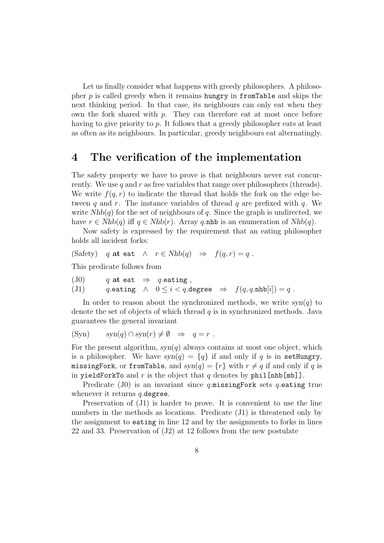Let us finally consider what happens with greedy philosophers. A philosopher  $p$  is called greedy when it remains hungry in from Table and skips the next thinking period. In that case, its neighbours can only eat when they own the fork shared with  $p$ . They can therefore eat at most once before having to give priority to p. It follows that a greedy philosopher eats at least as often as its neighbours. In particular, greedy neighbours eat alternatingly.

### 4 The verification of the implementation

The safety property we have to prove is that neighbours never eat concurrently. We use q and r as free variables that range over philosophers (threads). We write  $f(q, r)$  to indicate the thread that holds the fork on the edge between q and r. The instance variables of thread q are prefixed with  $q$ . We write  $Nhb(q)$  for the set of neighbours of q. Since the graph is undirected, we have  $r \in Nhb(q)$  iff  $q \in Nhb(r)$ . Array q.nhb is an enumeration of  $Nhb(q)$ .

Now safety is expressed by the requirement that an eating philosopher holds all incident forks:

(Safety) q at eat  $\wedge$   $r \in Nhb(q) \Rightarrow f(q,r) = q$ .

This predicate follows from

(J0) q at eat  $\Rightarrow$  q eating, (J1) q.eating  $\wedge$   $0 \leq i < q$ .degree  $\Rightarrow$   $f(q, q.nhb[i]) = q$ .

In order to reason about the synchronized methods, we write  $syn(q)$  to denote the set of objects of which thread  $q$  is in synchronized methods. Java guarantees the general invariant

$$
(Syn) \t syn(q) \cap syn(r) \neq \emptyset \Rightarrow q = r .
$$

For the present algorithm,  $syn(q)$  always contains at most one object, which is a philosopher. We have  $syn(q) = \{q\}$  if and only if q is in setHungry, missingFork, or fromTable, and  $syn(q) = \{r\}$  with  $r \neq q$  if and only if q is in yieldForkTo and r is the object that  $q$  denotes by phil[nhb[mb]].

Predicate (J0) is an invariant since q.missingFork sets q.eating true whenever it returns  $q$ . degree.

Preservation of (J1) is harder to prove. It is convenient to use the line numbers in the methods as locations. Predicate (J1) is threatened only by the assignment to eating in line 12 and by the assignments to forks in lines 22 and 33. Preservation of (J2) at 12 follows from the new postulate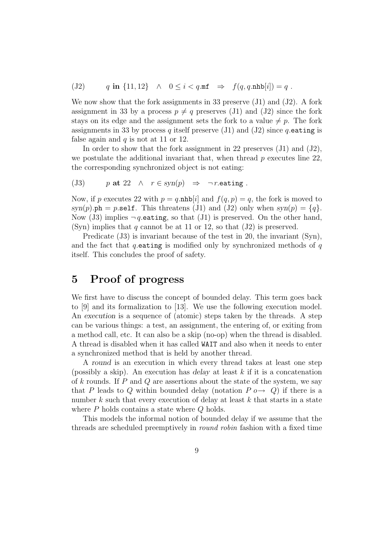(J2)  $q \text{ in } \{11, 12\} \quad \land \quad 0 \leq i < q.\text{mf } \Rightarrow f(q, q.\text{nhb}[i]) = q.$ 

We now show that the fork assignments in 33 preserve (J1) and (J2). A fork assignment in 33 by a process  $p \neq q$  preserves (J1) and (J2) since the fork stays on its edge and the assignment sets the fork to a value  $\neq p$ . The fork assignments in 33 by process q itself preserve (J1) and (J2) since q eating is false again and  $q$  is not at 11 or 12.

In order to show that the fork assignment in 22 preserves  $(J1)$  and  $(J2)$ , we postulate the additional invariant that, when thread  $p$  executes line 22, the corresponding synchronized object is not eating:

(J3) p at 22  $\land r \in \text{syn}(p) \Rightarrow \neg r.\text{eating}$ .

Now, if p executes 22 with  $p = q$ .nhb[i] and  $f(q, p) = q$ , the fork is moved to  $syn(p)$ .ph = p.self. This threatens (J1) and (J2) only when  $syn(p) = \{q\}.$ Now (J3) implies  $\neg q$  eating, so that (J1) is preserved. On the other hand, (Syn) implies that q cannot be at 11 or 12, so that  $(J2)$  is preserved.

Predicate (J3) is invariant because of the test in 20, the invariant (Syn), and the fact that q eating is modified only by synchronized methods of  $q$ itself. This concludes the proof of safety.

# 5 Proof of progress

We first have to discuss the concept of bounded delay. This term goes back to [9] and its formalization to [13]. We use the following execution model. An execution is a sequence of (atomic) steps taken by the threads. A step can be various things: a test, an assignment, the entering of, or exiting from a method call, etc. It can also be a skip (no-op) when the thread is disabled. A thread is disabled when it has called WAIT and also when it needs to enter a synchronized method that is held by another thread.

A round is an execution in which every thread takes at least one step (possibly a skip). An execution has delay at least  $k$  if it is a concatenation of k rounds. If P and Q are assertions about the state of the system, we say that P leads to Q within bounded delay (notation  $P \circ \rightarrow Q$ ) if there is a number  $k$  such that every execution of delay at least  $k$  that starts in a state where P holds contains a state where Q holds.

This models the informal notion of bounded delay if we assume that the threads are scheduled preemptively in round robin fashion with a fixed time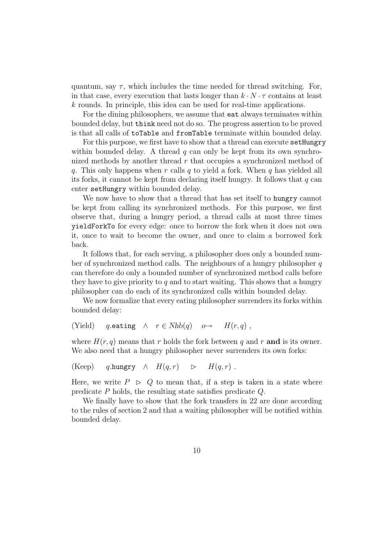quantum, say  $\tau$ , which includes the time needed for thread switching. For, in that case, every execution that lasts longer than  $k \cdot N \cdot \tau$  contains at least k rounds. In principle, this idea can be used for real-time applications.

For the dining philosophers, we assume that eat always terminates within bounded delay, but think need not do so. The progress assertion to be proved is that all calls of toTable and fromTable terminate within bounded delay.

For this purpose, we first have to show that a thread can execute setHungry within bounded delay. A thread q can only be kept from its own synchronized methods by another thread  $r$  that occupies a synchronized method of q. This only happens when r calls q to yield a fork. When q has yielded all its forks, it cannot be kept from declaring itself hungry. It follows that  $q$  can enter setHungry within bounded delay.

We now have to show that a thread that has set itself to hungry cannot be kept from calling its synchronized methods. For this purpose, we first observe that, during a hungry period, a thread calls at most three times yieldForkTo for every edge: once to borrow the fork when it does not own it, once to wait to become the owner, and once to claim a borrowed fork back.

It follows that, for each serving, a philosopher does only a bounded number of synchronized method calls. The neighbours of a hungry philosopher  $q$ can therefore do only a bounded number of synchronized method calls before they have to give priority to q and to start waiting. This shows that a hungry philosopher can do each of its synchronized calls within bounded delay.

We now formalize that every eating philosopher surrenders its forks within bounded delay:

(Yield) q.eating  $\wedge$   $r \in Nhb(q)$   $\omega \rightarrow$   $H(r, q)$ ,

where  $H(r, q)$  means that r holds the fork between q and r and is its owner. We also need that a hungry philosopher never surrenders its own forks:

(Keep) q.hungry  $\wedge$   $H(q,r)$   $\triangleright$   $H(q,r)$ .

Here, we write  $P > Q$  to mean that, if a step is taken in a state where predicate P holds, the resulting state satisfies predicate Q.

We finally have to show that the fork transfers in 22 are done according to the rules of section 2 and that a waiting philosopher will be notified within bounded delay.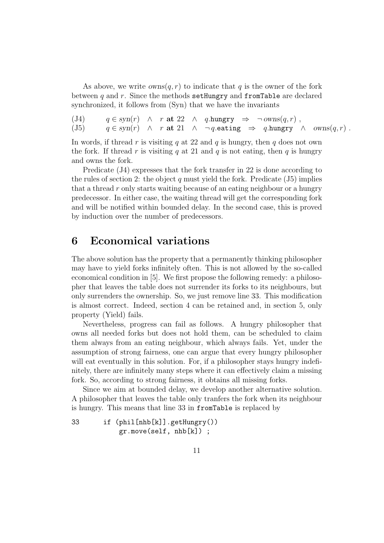As above, we write  $own(q, r)$  to indicate that q is the owner of the fork between q and r. Since the methods setHungry and from Table are declared synchronized, it follows from (Syn) that we have the invariants

(J4)  $q \in syn(r) \land r$  at 22  $\land q.$ hungry  $\Rightarrow \neg owns(q, r)$ , (J5)  $q \in syn(r) \land r$  at  $21 \land \neg q$  eating  $\Rightarrow q$  hungry  $\land \text{own}(q, r)$ .

In words, if thread r is visiting q at 22 and q is hungry, then q does not own the fork. If thread r is visiting q at 21 and q is not eating, then q is hungry and owns the fork.

Predicate (J4) expresses that the fork transfer in 22 is done according to the rules of section 2: the object  $q$  must yield the fork. Predicate (J5) implies that a thread  $r$  only starts waiting because of an eating neighbour or a hungry predecessor. In either case, the waiting thread will get the corresponding fork and will be notified within bounded delay. In the second case, this is proved by induction over the number of predecessors.

# 6 Economical variations

The above solution has the property that a permanently thinking philosopher may have to yield forks infinitely often. This is not allowed by the so-called economical condition in [5]. We first propose the following remedy: a philosopher that leaves the table does not surrender its forks to its neighbours, but only surrenders the ownership. So, we just remove line 33. This modification is almost correct. Indeed, section 4 can be retained and, in section 5, only property (Yield) fails.

Nevertheless, progress can fail as follows. A hungry philosopher that owns all needed forks but does not hold them, can be scheduled to claim them always from an eating neighbour, which always fails. Yet, under the assumption of strong fairness, one can argue that every hungry philosopher will eat eventually in this solution. For, if a philosopher stays hungry indefinitely, there are infinitely many steps where it can effectively claim a missing fork. So, according to strong fairness, it obtains all missing forks.

Since we aim at bounded delay, we develop another alternative solution. A philosopher that leaves the table only tranfers the fork when its neighbour is hungry. This means that line 33 in fromTable is replaced by

```
33 if (phil[nhb[k]].getHungry())
           gr.move(self, nhb[k]) ;
```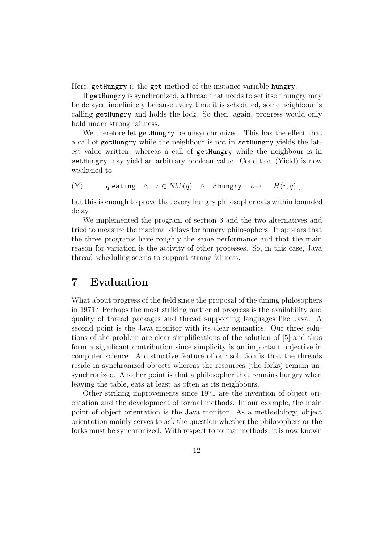Here, getHungry is the get method of the instance variable hungry.

If getHungry is synchronized, a thread that needs to set itself hungry may be delayed indefinitely because every time it is scheduled, some neighbour is calling getHungry and holds the lock. So then, again, progress would only hold under strong fairness.

We therefore let getHungry be unsynchronized. This has the effect that a call of getHungry while the neighbour is not in setHungry yields the latest value written, whereas a call of getHungry while the neighbour is in setHungry may yield an arbitrary boolean value. Condition (Yield) is now weakened to

(Y) q.eating  $\wedge$   $r \in Nhb(q)$   $\wedge$  r.hungry  $o \rightarrow$   $H(r, q)$ ,

but this is enough to prove that every hungry philosopher eats within bounded delay.

We implemented the program of section 3 and the two alternatives and tried to measure the maximal delays for hungry philosophers. It appears that the three programs have roughly the same performance and that the main reason for variation is the activity of other processes. So, in this case, Java thread scheduling seems to support strong fairness.

# 7 Evaluation

What about progress of the field since the proposal of the dining philosophers in 1971? Perhaps the most striking matter of progress is the availability and quality of thread packages and thread supporting languages like Java. A second point is the Java monitor with its clear semantics. Our three solutions of the problem are clear simplifications of the solution of [5] and thus form a significant contribution since simplicity is an important objective in computer science. A distinctive feature of our solution is that the threads reside in synchronized objects whereas the resources (the forks) remain unsynchronized. Another point is that a philosopher that remains hungry when leaving the table, eats at least as often as its neighbours.

Other striking improvements since 1971 are the invention of object orientation and the development of formal methods. In our example, the main point of object orientation is the Java monitor. As a methodology, object orientation mainly serves to ask the question whether the philosophers or the forks must be synchronized. With respect to formal methods, it is now known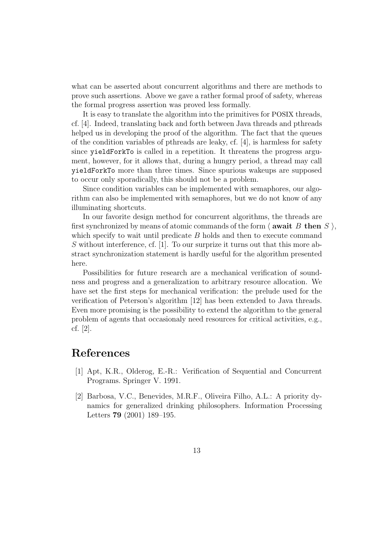what can be asserted about concurrent algorithms and there are methods to prove such assertions. Above we gave a rather formal proof of safety, whereas the formal progress assertion was proved less formally.

It is easy to translate the algorithm into the primitives for POSIX threads, cf. [4]. Indeed, translating back and forth between Java threads and pthreads helped us in developing the proof of the algorithm. The fact that the queues of the condition variables of pthreads are leaky, cf. [4], is harmless for safety since yieldForkTo is called in a repetition. It threatens the progress argument, however, for it allows that, during a hungry period, a thread may call yieldForkTo more than three times. Since spurious wakeups are supposed to occur only sporadically, this should not be a problem.

Since condition variables can be implemented with semaphores, our algorithm can also be implemented with semaphores, but we do not know of any illuminating shortcuts.

In our favorite design method for concurrent algorithms, the threads are first synchronized by means of atomic commands of the form  $\langle$  await B then S  $\rangle$ , which specify to wait until predicate  $B$  holds and then to execute command S without interference, cf. [1]. To our surprize it turns out that this more abstract synchronization statement is hardly useful for the algorithm presented here.

Possibilities for future research are a mechanical verification of soundness and progress and a generalization to arbitrary resource allocation. We have set the first steps for mechanical verification: the prelude used for the verification of Peterson's algorithm [12] has been extended to Java threads. Even more promising is the possibility to extend the algorithm to the general problem of agents that occasionaly need resources for critical activities, e.g., cf. [2].

# References

- [1] Apt, K.R., Olderog, E.-R.: Verification of Sequential and Concurrent Programs. Springer V. 1991.
- [2] Barbosa, V.C., Benevides, M.R.F., Oliveira Filho, A.L.: A priority dynamics for generalized drinking philosophers. Information Processing Letters 79 (2001) 189–195.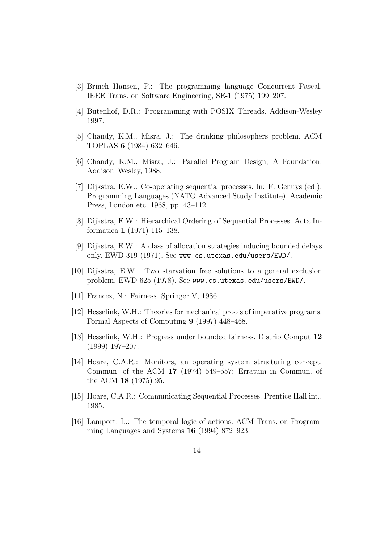- [3] Brinch Hansen, P.: The programming language Concurrent Pascal. IEEE Trans. on Software Engineering, SE-1 (1975) 199–207.
- [4] Butenhof, D.R.: Programming with POSIX Threads. Addison-Wesley 1997.
- [5] Chandy, K.M., Misra, J.: The drinking philosophers problem. ACM TOPLAS 6 (1984) 632–646.
- [6] Chandy, K.M., Misra, J.: Parallel Program Design, A Foundation. Addison–Wesley, 1988.
- [7] Dijkstra, E.W.: Co-operating sequential processes. In: F. Genuys (ed.): Programming Languages (NATO Advanced Study Institute). Academic Press, London etc. 1968, pp. 43–112.
- [8] Dijkstra, E.W.: Hierarchical Ordering of Sequential Processes. Acta Informatica 1 (1971) 115–138.
- [9] Dijkstra, E.W.: A class of allocation strategies inducing bounded delays only. EWD 319 (1971). See www.cs.utexas.edu/users/EWD/.
- [10] Dijkstra, E.W.: Two starvation free solutions to a general exclusion problem. EWD 625 (1978). See www.cs.utexas.edu/users/EWD/.
- [11] Francez, N.: Fairness. Springer V, 1986.
- [12] Hesselink, W.H.: Theories for mechanical proofs of imperative programs. Formal Aspects of Computing 9 (1997) 448–468.
- [13] Hesselink, W.H.: Progress under bounded fairness. Distrib Comput 12 (1999) 197–207.
- [14] Hoare, C.A.R.: Monitors, an operating system structuring concept. Commun. of the ACM 17 (1974) 549–557; Erratum in Commun. of the ACM 18 (1975) 95.
- [15] Hoare, C.A.R.: Communicating Sequential Processes. Prentice Hall int., 1985.
- [16] Lamport, L.: The temporal logic of actions. ACM Trans. on Programming Languages and Systems 16 (1994) 872–923.